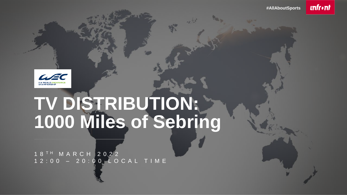



# **TV DISTRIBUTION: 1000 Miles of Sebring**

 $\sim$ 

1 8 TH M A R C H 2 0 2 2 1 2 : 0 0 – 2 0 : 0 0 L O C A L T I M E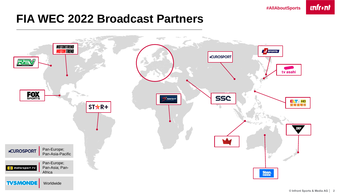**#AllAboutSports**

**unfront** 

### **FIA WEC 2022 Broadcast Partners**

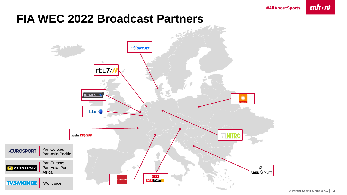#### **unfront**

### **FIA WEC 2022 Broadcast Partners**

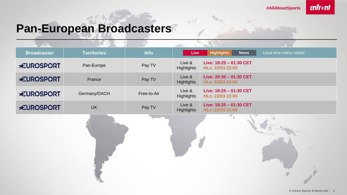

# **Pan-European Broadcasters**

| <b>Broadcaster</b> | <b>Territories</b> | <b>Info</b> | Live                        | <b>Highlights</b><br><b>News</b><br>Local time unless stated |
|--------------------|--------------------|-------------|-----------------------------|--------------------------------------------------------------|
| <b>*EUROSPORT</b>  | Pan-Europe         | Pay TV      | Live &<br>Highlights        | Live: 18:25 - 01:30 CET<br>HLs: 22/03 22:00                  |
| <b>*EUROSPORT</b>  | France             | Pay TV      | Live &<br>Highlights        | Live: 20:35 - 01:30 CET<br>HLs: 22/03 22:00                  |
| <b>*EUROSPORT</b>  | Germany/DACH       | Free-to-Air | Live &<br><b>Highlights</b> | Live: 18:25 - 01:30 CET<br>HLs: 22/03 22:00                  |
| <b>*EUROSPORT</b>  | <b>UK</b>          | Pay TV      | Live &<br>Highlights        | Live: 18:25 - 01:30 CET<br>HLs: 22/03 21:00                  |
|                    |                    |             |                             | $\mathbf{v}_b$                                               |

 $\alpha$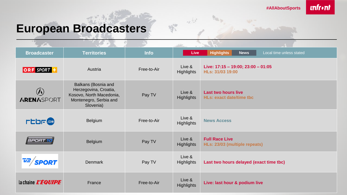

# **European Broadcasters**

 $-25 - 1$ 

| <b>Broadcaster</b>                | <b>Territories</b>                                                                                              | Info        | Live                        | <b>Highlights</b><br><b>News</b><br>Local time unless stated |
|-----------------------------------|-----------------------------------------------------------------------------------------------------------------|-------------|-----------------------------|--------------------------------------------------------------|
| ORF SPORT +                       | Austria                                                                                                         | Free-to-Air | Live &<br>Highlights        | Live: 17:15 - 19:00; 23:00 - 01:05<br>HLs: 31/03 19:00       |
| $\mathbf{V}$<br><b>ARENASPORT</b> | Balkans (Bosnia and<br>Herzegovina, Croatia,<br>Kosovo, North Macedonia,<br>Montenegro, Serbia and<br>Slovenia) | Pay TV      | Live &<br>Highlights        | Last two hours live<br>HLs: exact date/time tbc              |
| <b>rtbr@</b>                      | Belgium                                                                                                         | Free-to-Air | Live &<br>Highlights        | <b>News Access</b>                                           |
| SPORT                             | Belgium                                                                                                         | Pay TV      | Live &<br><b>Highlights</b> | <b>Full Race Live</b><br>HLs: 23/03 (multiple repeats)       |
| <b>SPORT</b>                      | Denmark                                                                                                         | Pay TV      | Live &<br>Highlights        | Last two hours delayed (exact time tbc)                      |
| la chaine <i>L'ÉQUIPE</i>         | France                                                                                                          | Free-to-Air | Live &<br><b>Highlights</b> | Live: last hour & podium live                                |

第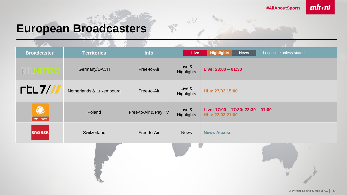

# **European Broadcasters**

松下山の

| <b>Broadcaster</b>  | <b>Territories</b>       | Info                 | <b>Live</b>          | <b>Highlights</b><br><b>News</b><br>Local time unless stated |
|---------------------|--------------------------|----------------------|----------------------|--------------------------------------------------------------|
| <b>RTINITRO</b>     | Germany/DACH             | Free-to-Air          | Live &<br>Highlights | Live: 23:00 - 01:30                                          |
| $\Gamma$ LL $7$ /// | Netherlands & Luxembourg | Free-to-Air          | Live &<br>Highlights | HLs: 27/03 15:00                                             |
| 美美<br>POLSAT        | Poland                   | Free-to-Air & Pay TV | Live &<br>Highlights | Live: 17:00 - 17:30; 22:30 - 01:00<br>HLs: 22/03 21:00       |
| <b>SRG SSR</b>      | Switzerland              | Free-to-Air          | <b>News</b>          | <b>News Access</b>                                           |
|                     |                          |                      |                      |                                                              |

第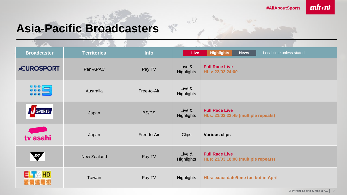

# **Asia-Pacific Broadcasters**

 $\frac{1}{\sqrt{2}}\sum_{i=1}^{n-1}\frac{1}{\sqrt{2}}\sum_{i=1}^{n-1}\frac{1}{\sqrt{2}}\sum_{i=1}^{n-1}\frac{1}{\sqrt{2}}\sum_{i=1}^{n-1}\frac{1}{\sqrt{2}}\sum_{i=1}^{n-1}\frac{1}{\sqrt{2}}\sum_{i=1}^{n-1}\frac{1}{\sqrt{2}}\sum_{i=1}^{n-1}\frac{1}{\sqrt{2}}\sum_{i=1}^{n-1}\frac{1}{\sqrt{2}}\sum_{i=1}^{n-1}\frac{1}{\sqrt{2}}\sum_{i=1}^{n-1}\frac{1}{\sqrt{2}}$ 

|                      |                    |              |                      | $\sim \nu$                                                   |
|----------------------|--------------------|--------------|----------------------|--------------------------------------------------------------|
| <b>Broadcaster</b>   | <b>Territories</b> | Info         | Live                 | <b>Highlights</b><br><b>News</b><br>Local time unless stated |
| <b>*EUROSPORT</b>    | Pan-APAC           | Pay TV       | Live &<br>Highlights | <b>Full Race Live</b><br>HLs: 22/03 24:00                    |
| $\mathbf{C}$         | Australia          | Free-to-Air  | Live &<br>Highlights |                                                              |
| <b>SPORTS</b>        | Japan              | <b>BS/CS</b> | Live &<br>Highlights | <b>Full Race Live</b><br>HLs: 21/03 22:45 (multiple repeats) |
| tv asahi             | Japan              | Free-to-Air  | <b>Clips</b>         | <b>Various clips</b>                                         |
| $\mathbf{w}$         | New Zealand        | Pay TV       | Live &<br>Highlights | <b>Full Race Live</b><br>HLs: 23/03 18:00 (multiple repeats) |
| $E$ $\rightarrow$ HD | Taiwan             | Pay TV       | Highlights           | HLs: exact date/time tbc but in April                        |

 $\alpha_{\rm C} \approx 10^{10}$ 

 $\mathcal{H}^{\text{op}}_{\lambda}$ 

**© Infront Sports & Media AG │ 7**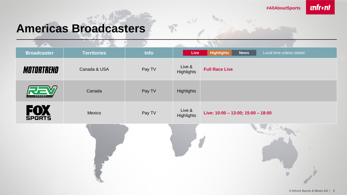

### **Americas Broadcasters**

 $\frac{1}{\sqrt{2}}\sum_{i=1}^{N-1}\frac{1}{i}$ 

| <b>Broadcaster</b> | <b>Territories</b> | Info   | Live                 | <b>Highlights</b><br>Local time unless stated<br><b>News</b> |
|--------------------|--------------------|--------|----------------------|--------------------------------------------------------------|
| <b>MOTORTREND</b>  | Canada & USA       | Pay TV | Live &<br>Highlights | <b>Full Race Live</b>                                        |
|                    | Canada             | Pay TV | Highlights           |                                                              |
| <b>FOX</b>         | Mexico             | Pay TV | Live &<br>Highlights | Live: 10:00 - 13:00; 15:00 - 18:00                           |
|                    |                    |        |                      | $\sim$                                                       |

 $\label{eq:Ricci} \mathcal{O}_{\mathcal{K}_i} \overset{\text{def}}{\sim} \mathcal{O}_{\mathcal{K}_i}$ 

 $\psi_{\lambda}^{\rm dr}$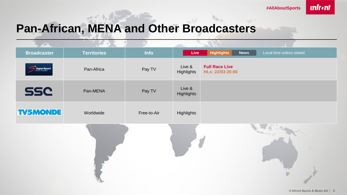

# **Pan-African, MENA and Other Broadcasters**

| <b>Broadcaster</b> | <b>Territories</b> | Info        | Live                 | <b>Highlights</b>                         | <b>News</b> | Local time unless stated |
|--------------------|--------------------|-------------|----------------------|-------------------------------------------|-------------|--------------------------|
| <b>SuperSport</b>  | Pan-Africa         | Pay TV      | Live &<br>Highlights | <b>Full Race Live</b><br>HLs: 22/03 20:00 |             |                          |
| <b>SSC</b>         | Pan-MENA           | Pay TV      | Live &<br>Highlights |                                           |             |                          |
| <b>TV5MONDE</b>    | Worldwide          | Free-to-Air | Highlights           |                                           |             |                          |
|                    |                    |             |                      |                                           |             |                          |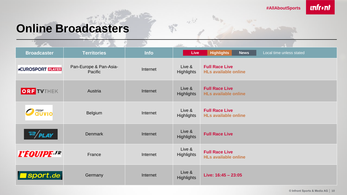

### **Online Broadcasters**

 $\mathcal{L}_{\mathcal{A}}$ 

 $\frac{1}{\sqrt{2}}\sum_{i=1}^{n-1}\frac{1}{\sqrt{2}}\sum_{i=1}^{n-1}\frac{1}{\sqrt{2}}\sum_{i=1}^{n-1}\frac{1}{\sqrt{2}}\sum_{i=1}^{n-1}\frac{1}{\sqrt{2}}\sum_{i=1}^{n-1}\frac{1}{\sqrt{2}}\sum_{i=1}^{n-1}\frac{1}{\sqrt{2}}\sum_{i=1}^{n-1}\frac{1}{\sqrt{2}}\sum_{i=1}^{n-1}\frac{1}{\sqrt{2}}\sum_{i=1}^{n-1}\frac{1}{\sqrt{2}}\sum_{i=1}^{n-1}\frac{1}{\sqrt{2}}$ 

| <b>Contract Contract Contract</b> |                                   |          |                             | <b><i>Property of the Contract of the Contract</i></b>       |
|-----------------------------------|-----------------------------------|----------|-----------------------------|--------------------------------------------------------------|
| <b>Broadcaster</b>                | <b>Territories</b>                | Info     | <b>Live</b>                 | <b>Highlights</b><br><b>News</b><br>Local time unless stated |
| <b>EUROSPORT PLAYER</b>           | Pan-Europe & Pan-Asia-<br>Pacific | Internet | Live &<br><b>Highlights</b> | <b>Full Race Live</b><br><b>HLs available online</b>         |
| ORF TVTHEK                        | Austria                           | Internet | Live &<br><b>Highlights</b> | <b>Full Race Live</b><br><b>HLs available online</b>         |
| O <sub>duvo</sub>                 | Belgium                           | Internet | Live &<br><b>Highlights</b> | <b>Full Race Live</b><br><b>HLs available online</b>         |
| $\overline{v^2}/P LAY$            | <b>Denmark</b>                    | Internet | Live &<br>Highlights        | <b>Full Race Live</b>                                        |
| <b>L'EQUIPE.FR</b>                | France                            | Internet | Live &<br>Highlights        | <b>Full Race Live</b><br><b>HLs available online</b>         |
| sport.de                          | Germany                           | Internet | Live &<br>Highlights        | Live: 16:45 - 23:05                                          |

 $\alpha$ 

家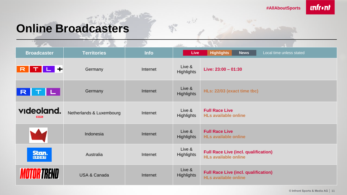

### **Online Broadcasters**

 $\mathcal{P}^{(1)}_{\mathcal{A}(\mathcal{A})}$ 

| <b>COLLECTION</b>             |                          |             |                             | and the state of the state                                                 |
|-------------------------------|--------------------------|-------------|-----------------------------|----------------------------------------------------------------------------|
| <b>Broadcaster</b>            | <b>Territories</b>       | <b>Info</b> | <b>Live</b>                 | <b>Highlights</b><br>Local time unless stated<br><b>News</b>               |
| $\top$<br>$\mathsf R$<br>╺╋   | Germany                  | Internet    | Live &<br><b>Highlights</b> | Live: 23:00 - 01:30                                                        |
| $\overline{\phantom{a}}$<br>R | Germany                  | Internet    | Live &<br><b>Highlights</b> | HLs: 22/03 (exact time tbc)                                                |
| videoland.                    | Netherlands & Luxembourg | Internet    | Live &<br><b>Highlights</b> | <b>Full Race Live</b><br><b>HLs available online</b>                       |
|                               | Indonesia                | Internet    | Live &<br><b>Highlights</b> | <b>Full Race Live</b><br><b>HLs available online</b>                       |
| <b>Stan.</b>                  | Australia                | Internet    | Live &<br>Highlights        | <b>Full Race Live (incl. qualification)</b><br><b>HLs available online</b> |
|                               | USA & Canada             | Internet    | Live &<br><b>Highlights</b> | <b>Full Race Live (incl. qualification)</b><br><b>HLs available online</b> |

 $\alpha$ 

家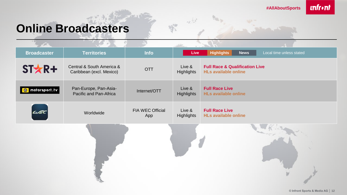

### **Online Broadcasters**

 $\mathcal{A}^{(2)}_{\alpha}$ 

| <b>Broadcaster</b> | <b>Territories</b>                                    | <b>Info</b>             | Live                        | <b>Highlights</b><br>Local time unless stated<br><b>News</b>             |
|--------------------|-------------------------------------------------------|-------------------------|-----------------------------|--------------------------------------------------------------------------|
| $ST \star R +$     | Central & South America &<br>Caribbean (excl. Mexico) | <b>OTT</b>              | Live &<br>Highlights        | <b>Full Race &amp; Qualification Live</b><br><b>HLs available online</b> |
| O motorsport.tv    | Pan-Europe, Pan-Asia-<br>Pacific and Pan-Africa       | Internet/OTT            | Live &<br><b>Highlights</b> | <b>Full Race Live</b><br><b>HLs available online</b>                     |
| $\mu$ EC           | Worldwide                                             | FIA WEC Official<br>App | Live &<br><b>Highlights</b> | <b>Full Race Live</b><br><b>HLs available online</b>                     |
|                    |                                                       |                         |                             |                                                                          |

 $\alpha$ 

 $\psi_{\lambda}^{\rm cr}$